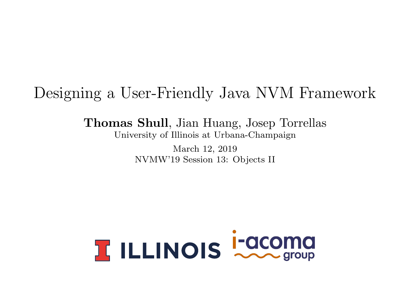### <span id="page-0-0"></span>Designing a User-Friendly Java NVM Framework

Thomas Shull, Jian Huang, Josep Torrellas University of Illinois at Urbana-Champaign

> March 12, 2019 NVMW'19 Session 13: Objects II

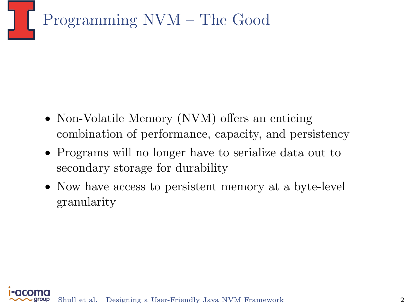- Non-Volatile Memory (NVM) offers an enticing combination of performance, capacity, and persistency
- Programs will no longer have to serialize data out to secondary storage for durability
- Now have access to persistent memory at a byte-level granularity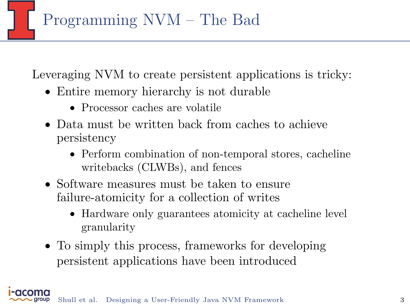Programming NVM – The Bad

Leveraging NVM to create persistent applications is tricky:

- Entire memory hierarchy is not durable
	- Processor caches are volatile
- Data must be written back from caches to achieve persistency
	- Perform combination of non-temporal stores, cacheline writebacks (CLWBs), and fences
- Software measures must be taken to ensure failure-atomicity for a collection of writes
	- Hardware only guarantees atomicity at cacheline level granularity
- To simply this process, frameworks for developing persistent applications have been introduced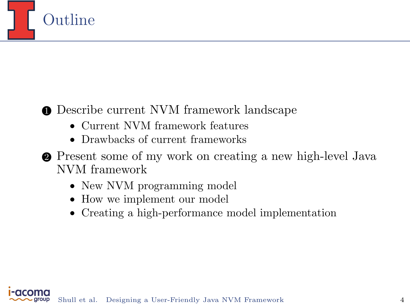

### **• Describe current NVM framework landscape**

- Current NVM framework features
- Drawbacks of current frameworks
- 2 Present some of my work on creating a new high-level Java NVM framework
	- New NVM programming model
	- How we implement our model
	- Creating a high-performance model implementation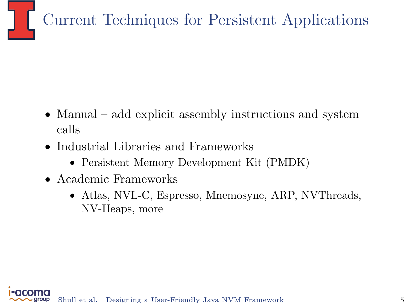- Manual add explicit assembly instructions and system calls
- Industrial Libraries and Frameworks
	- Persistent Memory Development Kit (PMDK)
- Academic Frameworks
	- Atlas, NVL-C, Espresso, Mnemosyne, ARP, NVThreads, NV-Heaps, more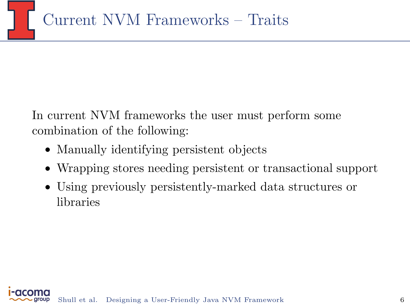

In current NVM frameworks the user must perform some combination of the following:

- Manually identifying persistent objects
- Wrapping stores needing persistent or transactional support
- Using previously persistently-marked data structures or libraries

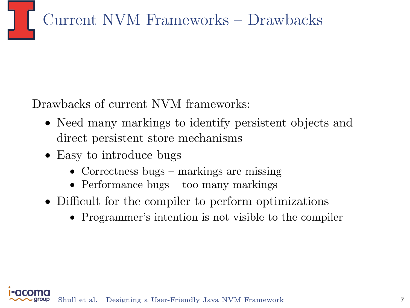Drawbacks of current NVM frameworks:

- Need many markings to identify persistent objects and direct persistent store mechanisms
- Easy to introduce bugs
	- Correctness bugs markings are missing
	- Performance bugs too many markings
- Difficult for the compiler to perform optimizations
	- Programmer's intention is not visible to the compiler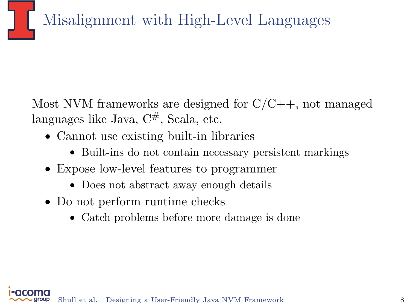Most NVM frameworks are designed for  $C/C++$ , not managed languages like Java,  $C^{\#}$ , Scala, etc.

- Cannot use existing built-in libraries
	- Built-ins do not contain necessary persistent markings
- Expose low-level features to programmer
	- Does not abstract away enough details
- Do not perform runtime checks
	- Catch problems before more damage is done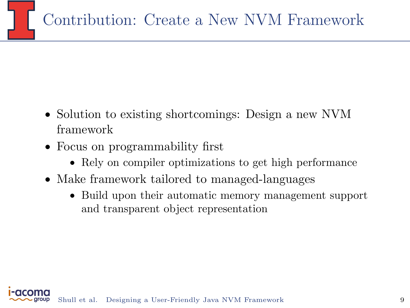- Solution to existing shortcomings: Design a new NVM framework
- Focus on programmability first
	- Rely on compiler optimizations to get high performance
- Make framework tailored to managed-languages
	- Build upon their automatic memory management support and transparent object representation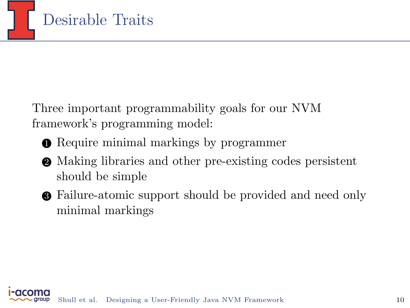

Three important programmability goals for our NVM framework's programming model:

- **Require minimal markings by programmer**
- 2 Making libraries and other pre-existing codes persistent should be simple
- 3 Failure-atomic support should be provided and need only minimal markings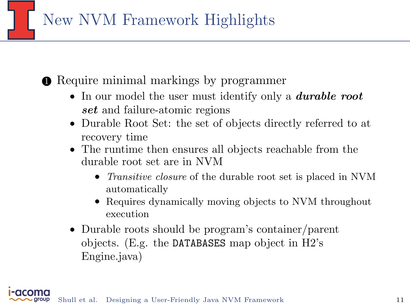New NVM Framework Highlights

**• Require minimal markings by programmer** 

- In our model the user must identify only a *durable root* set and failure-atomic regions
- Durable Root Set: the set of objects directly referred to at recovery time
- The runtime then ensures all objects reachable from the durable root set are in NVM
	- *Transitive closure* of the durable root set is placed in NVM automatically
	- Requires dynamically moving objects to NVM throughout execution
- Durable roots should be program's container/parent objects. (E.g. the DATABASES map object in H2's Engine.java)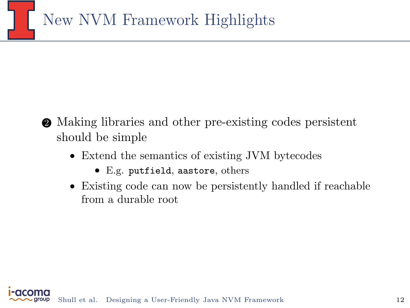

- 2 Making libraries and other pre-existing codes persistent should be simple
	- Extend the semantics of existing JVM bytecodes
		- E.g. putfield, aastore, others
	- Existing code can now be persistently handled if reachable from a durable root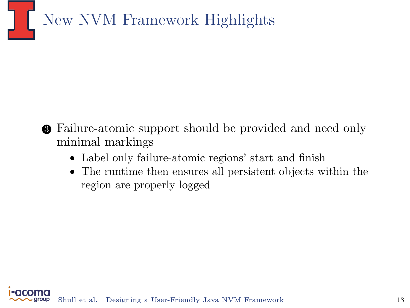

- 3 Failure-atomic support should be provided and need only minimal markings
	- Label only failure-atomic regions' start and finish
	- The runtime then ensures all persistent objects within the region are properly logged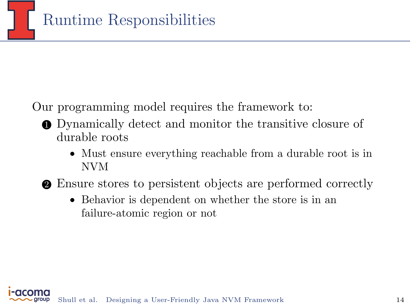

Our programming model requires the framework to:

- 1 Dynamically detect and monitor the transitive closure of durable roots
	- Must ensure everything reachable from a durable root is in NVM
- 2 Ensure stores to persistent objects are performed correctly
	- Behavior is dependent on whether the store is in an failure-atomic region or not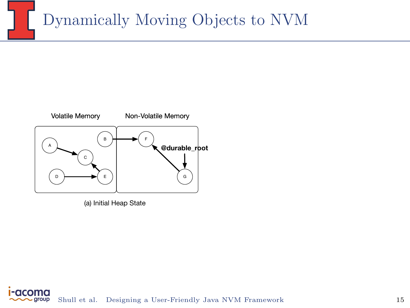# Dynamically Moving Objects to NVM



(a) Initial Heap State

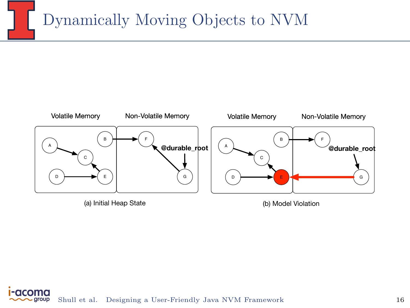## Dynamically Moving Objects to NVM





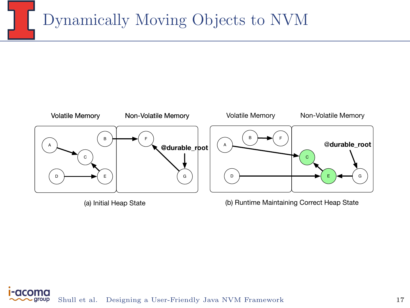### Dynamically Moving Objects to NVM



(b) Runtime Maintaining Correct Heap State

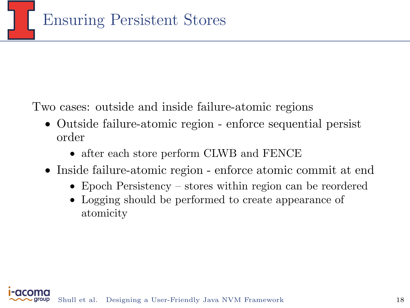Two cases: outside and inside failure-atomic regions

- Outside failure-atomic region enforce sequential persist order
	- after each store perform CLWB and FENCE
- Inside failure-atomic region enforce atomic commit at end
	- Epoch Persistency stores within region can be reordered
	- Logging should be performed to create appearance of atomicity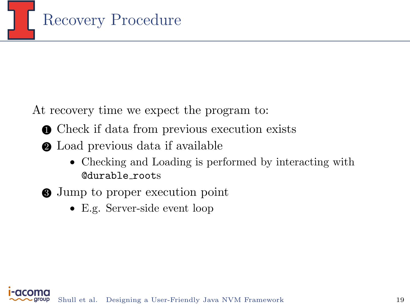

At recovery time we expect the program to:

- **Check if data from previous execution exists**
- 2 Load previous data if available
	- Checking and Loading is performed by interacting with @durable roots
- 3 Jump to proper execution point
	- E.g. Server-side event loop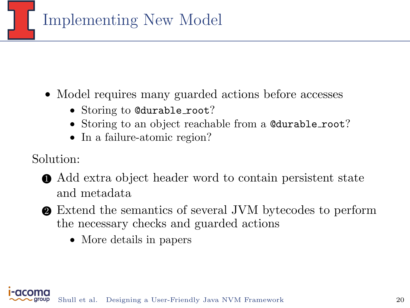

- Model requires many guarded actions before accesses
	- Storing to @durable\_root?
	- Storing to an object reachable from a @durable root?
	- In a failure-atomic region?

Solution:

- 1 Add extra object header word to contain persistent state and metadata
- 2 Extend the semantics of several JVM bytecodes to perform the necessary checks and guarded actions
	- More details in papers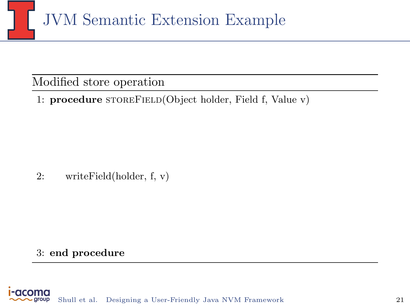

#### Modified store operation

1: procedure STOREFIELD(Object holder, Field f, Value v)

2: writeField(holder, f, v)

#### 3: end procedure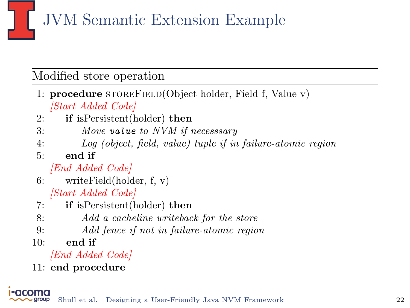JVM Semantic Extension Example

#### Modified store operation

- 1: **procedure** STOREFIELD(Object holder, Field f, Value v) [Start Added Code]
- 2: if isPersistent(holder) then
- 3: Move value to NVM if necesssary
- 4: Log (object, field, value) tuple if in failure-atomic region
- $5<sup>°</sup>$  end if

[End Added Code]

- 6: writeField(holder, f, v) [Start Added Code]
- 7: if isPersistent(holder) then
- 8: Add a cacheline writeback for the store
- 9: Add fence if not in failure-atomic region
- $10:$  end if

[End Added Code]

11: end procedure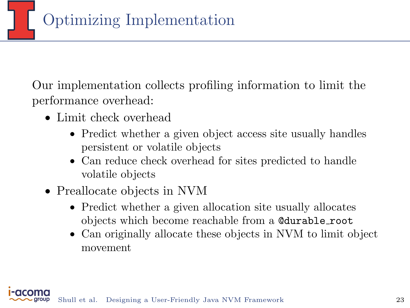

Our implementation collects profiling information to limit the performance overhead:

- Limit check overhead
	- Predict whether a given object access site usually handles persistent or volatile objects
	- Can reduce check overhead for sites predicted to handle volatile objects
- Preallocate objects in NVM
	- Predict whether a given allocation site usually allocates objects which become reachable from a @durable root
	- Can originally allocate these objects in NVM to limit object movement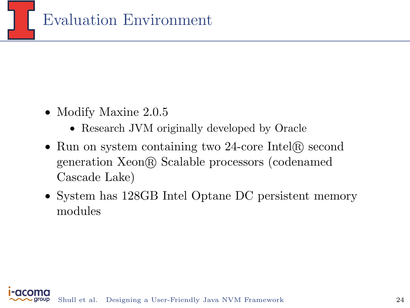

- Modify Maxine 2.0.5
	- Research JVM originally developed by Oracle
- Run on system containing two 24-core Intel® second generation Xeon R Scalable processors (codenamed Cascade Lake)
- System has 128GB Intel Optane DC persistent memory modules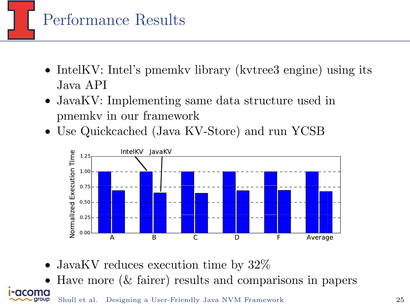

- IntelKV: Intel's pmemky library (kvtree3 engine) using its Java API
- JavaKV: Implementing same data structure used in pmemkv in our framework
- Use Quickcached (Java KV-Store) and run YCSB



- JavaKV reduces execution time by  $32\%$
- Have more  $(\&$  fairer) results and comparisons in papers Shull et al. [Designing a User-Friendly Java NVM Framework](#page-0-0) 25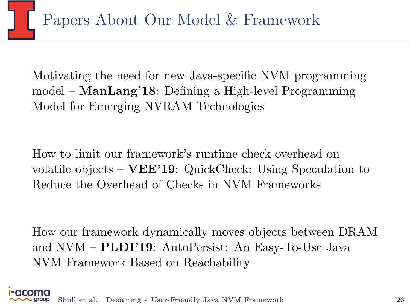Motivating the need for new Java-specific NVM programming model – ManLang'18: Defining a High-level Programming Model for Emerging NVRAM Technologies

How to limit our framework's runtime check overhead on volatile objects – VEE'19: QuickCheck: Using Speculation to Reduce the Overhead of Checks in NVM Frameworks

How our framework dynamically moves objects between DRAM and NVM – PLDI'19: AutoPersist: An Easy-To-Use Java NVM Framework Based on Reachability